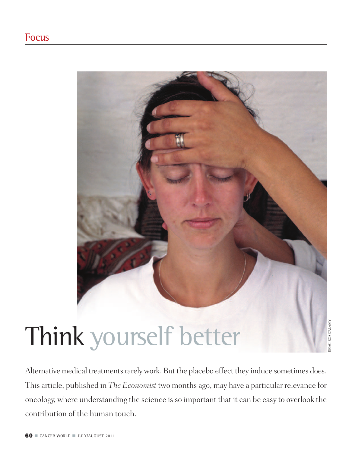

# Think yourself better

Alternative medical treatments rarely work. But the placebo effect they induce sometimes does. This article, published in *The Economist* two months ago, may have a particular relevance for oncology, where understanding the science isso important that it can be easy to overlook the contribution of the human touch.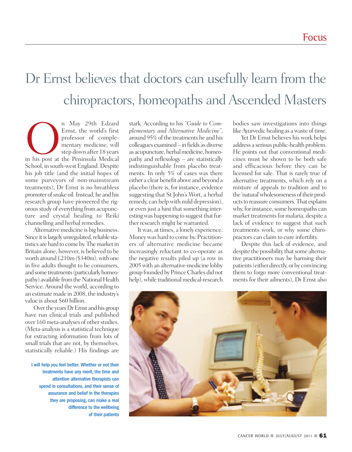### Dr Ernst believes that doctors can usefully learn from the chiropractors, homeopaths and Ascended Masters

n May 29th Edzard<br>
Ernst, the world's first<br>
professor of comple-<br>
mentary medicine, will<br>
step down after 18 years<br>
in his post at the Peninsula Medical Ernst, the world's first professor of complementary medicine, will step down after 18 years School, in south-west England. Despite his job title (and the initial hopes of some purveyors of non-mainstream treatments), Dr Ernst is no breathless promoter of snake oil. Instead, he and his research group have pioneered the rigorous study of everything from acupuncture and crystal healing to Reiki channelling and herbal remedies.

Alternative medicine is big business. Since it is largely unregulated, reliable statistics are hard to come by. The market in Britain alone, however, is believed to be worth around  $£210m$  (\$340m), with one in five adults thought to be consumers, and some treatments (particularly homeopathy) available from the National Health Service.Around the world, according to an estimate made in 2008, the industry's value is about \$60 billion.

Over the years Dr Ernst and his group have run clinical trials and published over 160 meta-analyses of other studies. (Meta-analysis is a statistical technique for extracting information from lots of small trials that are not, by themselves, statistically reliable.) His findings are

I will help you feel better. Whether or not their treatments have any merit, the time and attention alternative therapists can spend in consultations, and their sense of assurance and belief in the therapies they are proposing, can make a real difference to the wellbeing of their patients

stark. According to his *"Guide to Complementary and Alternative Medicine"*, around 95% of the treatments he and his colleagues examined – in fields as diverse as acupuncture, herbal medicine, homeopathy and reflexology – are statistically indistinguishable from placebo treatments. In only 5% of cases was there either a clear benefit above and beyond a placebo (there is, for instance, evidence suggesting that St John's Wort, a herbal remedy, can help with mild depression), or even just a hint that something interesting was happening to suggest that further research might be warranted.

Itwas, at times, a lonely experience. Moneywas hard to come by. Practitioners of alternative medicine became increasingly reluctant to co-operate as the negative results piled up (a row in 2005 with an alternative-medicine lobby group founded byPrinceCharles did not help), while traditional medical-research bodies saw investigations into things like Ayurvedic healing as a waste of time.

Yet Dr Ernst believes his work helps address a serious public-health problem. He points out that conventional medicines must be shown to be both safe and efficacious before they can be licensed for sale. That is rarely true of alternative treatments, which rely on a mixture of appeals to tradition and to the 'natural' wholesomeness of their products to reassure consumers. That explains why, for instance, some homeopaths can market treatments for malaria, despite a lack of evidence to suggest that such treatments work, or why some chiropractors can claim to cure infertility.

Despite this lack of evidence, and despite the possibility that some alternative practitioners may be harming their patients(either directly, or by convincing them to forgo more conventional treatments for their ailments), Dr Ernst also